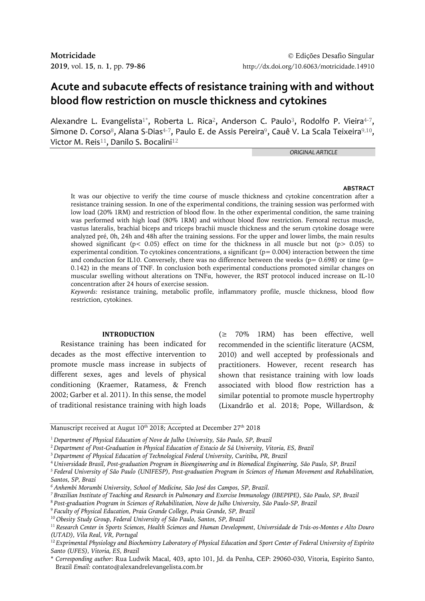# **Acute and subacute effects of resistance training with and without blood flow restriction on muscle thickness and cytokines**

Alexandre L. Evangelista<sup>1\*</sup>, Roberta L. Rica<sup>2</sup>, Anderson C. Paulo<sup>3</sup>, Rodolfo P. Vieira<sup>4-7</sup>, Simone D. Corso<sup>8</sup>, Alana S-Dias<sup>4-7</sup>, Paulo E. de Assis Pereira<sup>9</sup>, Cauê V. La Scala Teixeira<sup>9,10</sup>, Victor M. Reis<sup>11</sup>, Danilo S. Bocalini<sup>12</sup>

*ORIGINAL ARTICLE*

#### **ABSTRACT**

It was our objective to verify the time course of muscle thickness and cytokine concentration after a resistance training session. In one of the experimental conditions, the training session was performed with low load (20% 1RM) and restriction of blood flow. In the other experimental condition, the same training was performed with high load (80% 1RM) and without blood flow restriction. Femoral rectus muscle, vastus lateralis, brachial biceps and triceps brachii muscle thickness and the serum cytokine dosage were analyzed pré, 0h, 24h and 48h after the training sessions. For the upper and lower limbs, the main results showed significant ( $p < 0.05$ ) effect on time for the thickness in all muscle but not ( $p > 0.05$ ) to experimental condition. To cytokines concentrations, a significant ( $p= 0.004$ ) interaction between the time and conduction for IL10. Conversely, there was no difference between the weeks ( $p= 0.698$ ) or time ( $p=$ 0.142) in the means of TNF. In conclusion both experimental conductions promoted similar changes on muscular swelling without alterations on TNFα, however, the RST protocol induced increase on IL-10 concentration after 24 hours of exercise session.

*Keywords:* resistance training, metabolic profile, inflammatory profile, muscle thickness, blood flow restriction, cytokines.

### **INTRODUCTION**

Resistance training has been indicated for decades as the most effective intervention to promote muscle mass increase in subjects of different sexes, ages and levels of physical conditioning (Kraemer, Ratamess, & French 2002; Garber et al. 2011). In this sense, the model of traditional resistance training with high loads

(≥ 70% 1RM) has been effective, well recommended in the scientific literature (ACSM, 2010) and well accepted by professionals and practitioners. However, recent research has shown that resistance training with low loads associated with blood flow restriction has a similar potential to promote muscle hypertrophy (Lixandrão et al. 2018; Pope, Willardson, &

*<sup>7</sup>Brazilian Institute of Teaching and Research in Pulmonary and Exercise Immunology (IBEPIPE), São Paulo, SP, Brazil* 

- <sup>9</sup>*Faculty of Physical Education, Praia Grande College, Praia Grande, SP, Brazil*
- <sup>10</sup>*Obesity Study Group, Federal University of São Paulo, Santos, SP, Brazil*

Manuscript received at Augut  $10^{\rm th}$  2018; Accepted at December 27 $^{\rm th}$  2018

<sup>1</sup>*Department of Physical Education of Nove de Julho University, São Paulo, SP, Brazil*

<sup>2</sup>*Department of Post-Graduation in Physical Education of Estacio de Sá University, Vitoria, ES, Brazil*

<sup>3</sup>*Department of Physical Education of Technological Federal University, Curitiba, PR, Brazil*

<sup>4</sup>*Universidade Brasil, Post-graduation Program in Bioengineering and in Biomedical Engineering, São Paulo, SP, Brazil*

*<sup>5</sup>Federal University of São Paulo (UNIFESP), Post-graduation Program in Sciences of Human Movement and Rehabilitation,* 

*Santos, SP, Brazi*

*<sup>6</sup>Anhembi Morumbi University, School of Medicine, São José dos Campos, SP, Brazil.*

<sup>8</sup>*Post-graduation Program in Sciences of Rehabilitation, Nove de Julho University, São Paulo-SP, Brazil*

<sup>11</sup>*Research Center in Sports Sciences, Health Sciences and Human Development, Universidade de Trás-os-Montes e Alto Douro (UTAD), Vila Real, VR, Portugal*

<sup>12</sup>*Exprimental Physiology and Biochemistry Laboratory of Physical Education and Sport Center of Federal University of Espírito Santo (UFES), Vitoria, ES, Brazil*

<sup>\*</sup> *Corresponding author*: Rua Ludwik Macal, 403, apto 101, Jd. da Penha, CEP: 29060-030, Vitoria, Espirito Santo, Brazil *Email:* contato@alexandrelevangelista.com.br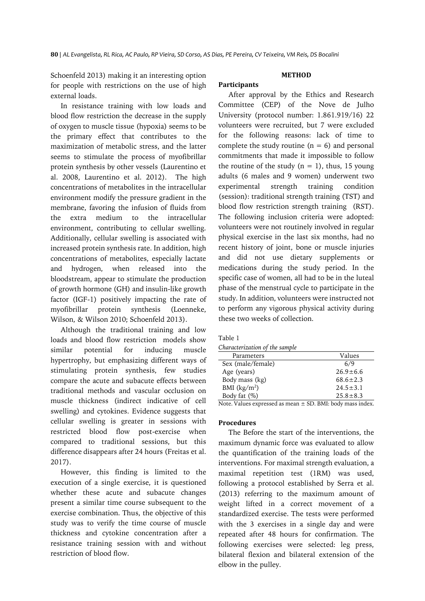**Participants**

Schoenfeld 2013) making it an interesting option for people with restrictions on the use of high external loads.

In resistance training with low loads and blood flow restriction the decrease in the supply of oxygen to muscle tissue (hypoxia) seems to be the primary effect that contributes to the maximization of metabolic stress, and the latter seems to stimulate the process of myofibrillar protein synthesis by other vessels (Laurentino et al. 2008, Laurentino et al. 2012). The high concentrations of metabolites in the intracellular environment modify the pressure gradient in the membrane, favoring the infusion of fluids from the extra medium to the intracellular environment, contributing to cellular swelling. Additionally, cellular swelling is associated with increased protein synthesis rate. In addition, high concentrations of metabolites, especially lactate and hydrogen, when released into the bloodstream, appear to stimulate the production of growth hormone (GH) and insulin-like growth factor (IGF-1) positively impacting the rate of myofibrillar protein synthesis (Loenneke, Wilson, & Wilson 2010; Schoenfeld 2013).

Although the traditional training and low loads and blood flow restriction models show similar potential for inducing muscle hypertrophy, but emphasizing different ways of stimulating protein synthesis, few studies compare the acute and subacute effects between traditional methods and vascular occlusion on muscle thickness (indirect indicative of cell swelling) and cytokines. Evidence suggests that cellular swelling is greater in sessions with restricted blood flow post-exercise when compared to traditional sessions, but this difference disappears after 24 hours (Freitas et al. 2017).

However, this finding is limited to the execution of a single exercise, it is questioned whether these acute and subacute changes present a similar time course subsequent to the exercise combination. Thus, the objective of this study was to verify the time course of muscle thickness and cytokine concentration after a resistance training session with and without restriction of blood flow.

# **METHOD**

After approval by the Ethics and Research Committee (CEP) of the Nove de Julho University (protocol number: 1.861.919/16) 22 volunteers were recruited, but 7 were excluded for the following reasons: lack of time to complete the study routine  $(n = 6)$  and personal commitments that made it impossible to follow the routine of the study  $(n = 1)$ , thus, 15 young adults (6 males and 9 women) underwent two experimental strength training condition (session): traditional strength training (TST) and blood flow restriction strength training (RST). The following inclusion criteria were adopted: volunteers were not routinely involved in regular physical exercise in the last six months, had no recent history of joint, bone or muscle injuries and did not use dietary supplements or medications during the study period. In the specific case of women, all had to be in the luteal phase of the menstrual cycle to participate in the study. In addition, volunteers were instructed not to perform any vigorous physical activity during these two weeks of collection.

#### Table 1

| Characterization of the sample |  |  |
|--------------------------------|--|--|
|                                |  |  |

| Parameters                                                     | Values         |  |  |
|----------------------------------------------------------------|----------------|--|--|
| Sex (male/female)                                              | 6/9            |  |  |
| Age (years)                                                    | $26.9 \pm 6.6$ |  |  |
| Body mass (kg)                                                 | $68.6 \pm 2.3$ |  |  |
| BMI $(kg/m2)$                                                  | $24.5 \pm 3.1$ |  |  |
| Body fat $(\%)$                                                | $25.8 \pm 8.3$ |  |  |
| Note $Values$ curresceed as mean $\pm$ CD, RML hady meas index |                |  |  |

Note. Values expressed as mean ± SD. BMI: body mass index.

## **Procedures**

The Before the start of the interventions, the maximum dynamic force was evaluated to allow the quantification of the training loads of the interventions. For maximal strength evaluation, a maximal repetition test (1RM) was used, following a protocol established by Serra et al. (2013) referring to the maximum amount of weight lifted in a correct movement of a standardized exercise. The tests were performed with the 3 exercises in a single day and were repeated after 48 hours for confirmation. The following exercises were selected: leg press, bilateral flexion and bilateral extension of the elbow in the pulley.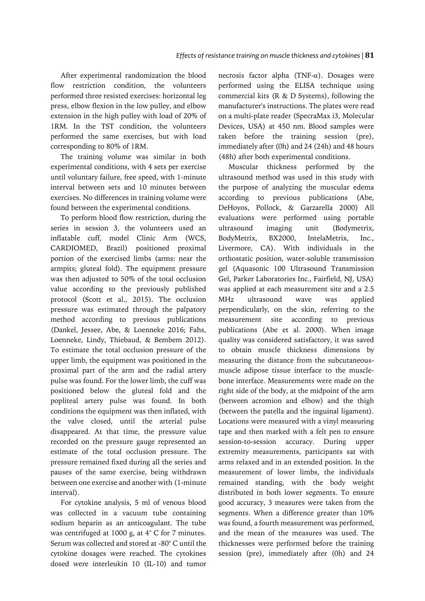After experimental randomization the blood flow restriction condition, the volunteers performed three resisted exercises: horizontal leg press, elbow flexion in the low pulley, and elbow extension in the high pulley with load of 20% of 1RM. In the TST condition, the volunteers performed the same exercises, but with load corresponding to 80% of 1RM.

The training volume was similar in both experimental conditions, with 4 sets per exercise until voluntary failure, free speed, with 1-minute interval between sets and 10 minutes between exercises. No differences in training volume were found between the experimental conditions.

To perform blood flow restriction, during the series in session 3, the volunteers used an inflatable cuff, model Clinic Arm (WCS, CARDIOMED, Brazil) positioned proximal portion of the exercised limbs (arms: near the armpits; gluteal fold). The equipment pressure was then adjusted to 50% of the total occlusion value according to the previously published protocol (Scott et al., 2015). The occlusion pressure was estimated through the palpatory method according to previous publications (Dankel, Jessee, Abe, & Loenneke 2016; Fahs, Loenneke, Lindy, Thiebaud, & Bembem 2012). To estimate the total occlusion pressure of the upper limb, the equipment was positioned in the proximal part of the arm and the radial artery pulse was found. For the lower limb, the cuff was positioned below the gluteal fold and the popliteal artery pulse was found. In both conditions the equipment was then inflated, with the valve closed, until the arterial pulse disappeared. At that time, the pressure value recorded on the pressure gauge represented an estimate of the total occlusion pressure. The pressure remained fixed during all the series and pauses of the same exercise, being withdrawn between one exercise and another with (1-minute interval).

For cytokine analysis, 5 ml of venous blood was collected in a vacuum tube containing sodium heparin as an anticoagulant. The tube was centrifuged at 1000 g, at 4° C for 7 minutes. Serum was collected and stored at -80° C until the cytokine dosages were reached. The cytokines dosed were interleukin 10 (IL-10) and tumor

necrosis factor alpha (TNF- $\alpha$ ). Dosages were performed using the ELISA technique using commercial kits (R & D Systems), following the manufacturer's instructions. The plates were read on a multi-plate reader (SpecraMax i3, Molecular Devices, USA) at 450 nm. Blood samples were taken before the training session (pre), immediately after (0h) and 24 (24h) and 48 hours (48h) after both experimental conditions.

Muscular thickness performed by the ultrasound method was used in this study with the purpose of analyzing the muscular edema according to previous publications (Abe, DeHoyos, Pollock, & Garzarella 2000) All evaluations were performed using portable ultrasound imaging unit (Bodymetrix, BodyMetrix, BX2000, IntelaMetrix, Inc., Livermore, CA). With individuals in the orthostatic position, water-soluble transmission gel (Aquasonic 100 Ultrasound Transmission Gel, Parker Laboratories Inc., Fairfield, NJ, USA) was applied at each measurement site and a 2.5 MHz ultrasound wave was applied perpendicularly, on the skin, referring to the measurement site according to previous publications (Abe et al. 2000). When image quality was considered satisfactory, it was saved to obtain muscle thickness dimensions by measuring the distance from the subcutaneousmuscle adipose tissue interface to the musclebone interface. Measurements were made on the right side of the body, at the midpoint of the arm (between acromion and elbow) and the thigh (between the patella and the inguinal ligament). Locations were measured with a vinyl measuring tape and then marked with a felt pen to ensure session-to-session accuracy. During upper extremity measurements, participants sat with arms relaxed and in an extended position. In the measurement of lower limbs, the individuals remained standing, with the body weight distributed in both lower segments. To ensure good accuracy, 3 measures were taken from the segments. When a difference greater than 10% was found, a fourth measurement was performed, and the mean of the measures was used. The thicknesses were performed before the training session (pre), immediately after (0h) and 24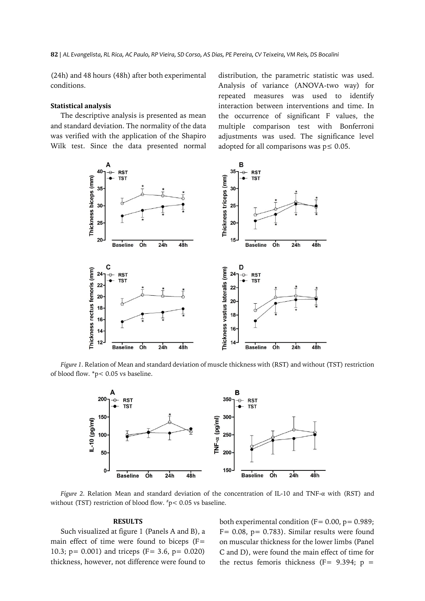(24h) and 48 hours (48h) after both experimental conditions.

## **Statistical analysis**

The descriptive analysis is presented as mean and standard deviation. The normality of the data was verified with the application of the Shapiro Wilk test. Since the data presented normal distribution, the parametric statistic was used. Analysis of variance (ANOVA-two way) for repeated measures was used to identify interaction between interventions and time. In the occurrence of significant F values, the multiple comparison test with Bonferroni adjustments was used. The significance level adopted for all comparisons was  $p \leq 0.05$ .



*Figure 1.* Relation of Mean and standard deviation of muscle thickness with (RST) and without (TST) restriction of blood flow. \*p< 0.05 vs baseline.



*Figure 2.* Relation Mean and standard deviation of the concentration of IL-10 and TNF-α with (RST) and without (TST) restriction of blood flow. #p< 0.05 vs baseline.

#### **RESULTS**

Such visualized at figure 1 (Panels A and B), a main effect of time were found to biceps (F= 10.3; p= 0.001) and triceps (F= 3.6, p= 0.020) thickness, however, not difference were found to both experimental condition ( $F = 0.00$ ,  $p = 0.989$ ;  $F= 0.08$ ,  $p= 0.783$ ). Similar results were found on muscular thickness for the lower limbs (Panel C and D), were found the main effect of time for the rectus femoris thickness (F=  $9.394$ ; p =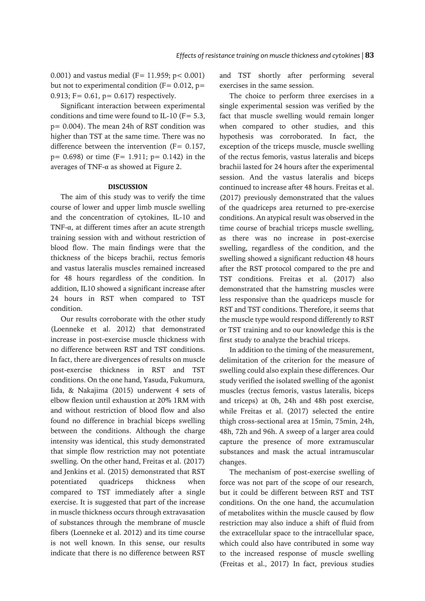0.001) and vastus medial (F=  $11.959$ ; p< 0.001) but not to experimental condition ( $F = 0.012$ ,  $p =$ 0.913; F= 0.61, p= 0.617) respectively.

Significant interaction between experimental conditions and time were found to IL-10 ( $F = 5.3$ , p= 0.004). The mean 24h of RST condition was higher than TST at the same time. There was no difference between the intervention  $(F= 0.157,$  $p= 0.698$ ) or time (F= 1.911;  $p= 0.142$ ) in the averages of TNF-α as showed at Figure 2.

### **DISCUSSION**

The aim of this study was to verify the time course of lower and upper limb muscle swelling and the concentration of cytokines, IL-10 and TNF-α, at different times after an acute strength training session with and without restriction of blood flow. The main findings were that the thickness of the biceps brachii, rectus femoris and vastus lateralis muscles remained increased for 48 hours regardless of the condition. In addition, IL10 showed a significant increase after 24 hours in RST when compared to TST condition.

Our results corroborate with the other study (Loenneke et al. 2012) that demonstrated increase in post-exercise muscle thickness with no difference between RST and TST conditions. In fact, there are divergences of results on muscle post-exercise thickness in RST and TST conditions. On the one hand, Yasuda, Fukumura, Iida, & Nakajima (2015) underwent 4 sets of elbow flexion until exhaustion at 20% 1RM with and without restriction of blood flow and also found no difference in brachial biceps swelling between the conditions. Although the charge intensity was identical, this study demonstrated that simple flow restriction may not potentiate swelling. On the other hand, Freitas et al. (2017) and Jenkins et al. (2015) demonstrated that RST potentiated quadriceps thickness when compared to TST immediately after a single exercise. It is suggested that part of the increase in muscle thickness occurs through extravasation of substances through the membrane of muscle fibers (Loenneke et al. 2012) and its time course is not well known. In this sense, our results indicate that there is no difference between RST

and TST shortly after performing several exercises in the same session.

The choice to perform three exercises in a single experimental session was verified by the fact that muscle swelling would remain longer when compared to other studies, and this hypothesis was corroborated. In fact, the exception of the triceps muscle, muscle swelling of the rectus femoris, vastus lateralis and biceps brachii lasted for 24 hours after the experimental session. And the vastus lateralis and biceps continued to increase after 48 hours. Freitas et al. (2017) previously demonstrated that the values of the quadriceps area returned to pre-exercise conditions. An atypical result was observed in the time course of brachial triceps muscle swelling, as there was no increase in post-exercise swelling, regardless of the condition, and the swelling showed a significant reduction 48 hours after the RST protocol compared to the pre and TST conditions. Freitas et al. (2017) also demonstrated that the hamstring muscles were less responsive than the quadriceps muscle for RST and TST conditions. Therefore, it seems that the muscle type would respond differently to RST or TST training and to our knowledge this is the first study to analyze the brachial triceps.

In addition to the timing of the measurement, delimitation of the criterion for the measure of swelling could also explain these differences. Our study verified the isolated swelling of the agonist muscles (rectus femoris, vastus lateralis, biceps and triceps) at 0h, 24h and 48h post exercise, while Freitas et al. (2017) selected the entire thigh cross-sectional area at 15min, 75min, 24h, 48h, 72h and 96h. A sweep of a larger area could capture the presence of more extramuscular substances and mask the actual intramuscular changes.

The mechanism of post-exercise swelling of force was not part of the scope of our research, but it could be different between RST and TST conditions. On the one hand, the accumulation of metabolites within the muscle caused by flow restriction may also induce a shift of fluid from the extracellular space to the intracellular space, which could also have contributed in some way to the increased response of muscle swelling (Freitas et al., 2017) In fact, previous studies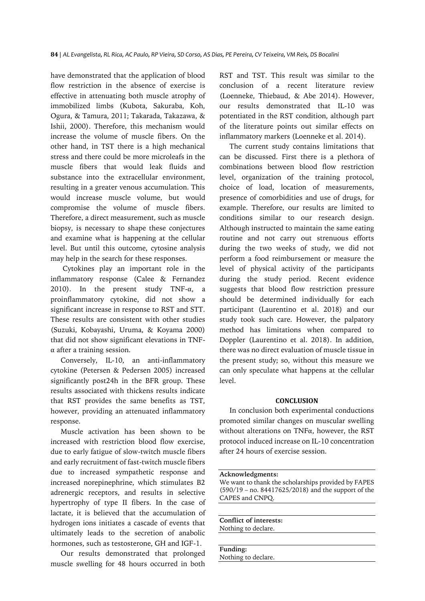have demonstrated that the application of blood flow restriction in the absence of exercise is effective in attenuating both muscle atrophy of immobilized limbs (Kubota, Sakuraba, Koh, Ogura, & Tamura, 2011; Takarada, Takazawa, & Ishii, 2000). Therefore, this mechanism would increase the volume of muscle fibers. On the other hand, in TST there is a high mechanical stress and there could be more microleafs in the muscle fibers that would leak fluids and substance into the extracellular environment, resulting in a greater venous accumulation. This would increase muscle volume, but would compromise the volume of muscle fibers. Therefore, a direct measurement, such as muscle biopsy, is necessary to shape these conjectures and examine what is happening at the cellular level. But until this outcome, cytosine analysis may help in the search for these responses.

Cytokines play an important role in the inflammatory response (Calee & Fernandez 2010). In the present study TNF- $\alpha$ , a proinflammatory cytokine, did not show a significant increase in response to RST and STT. These results are consistent with other studies (Suzuki, Kobayashi, Uruma, & Koyama 2000) that did not show significant elevations in TNF- $\alpha$  after a training session.

Conversely, IL-10, an anti-inflammatory cytokine (Petersen & Pedersen 2005) increased significantly post24h in the BFR group. These results associated with thickens results indicate that RST provides the same benefits as TST, however, providing an attenuated inflammatory response.

Muscle activation has been shown to be increased with restriction blood flow exercise, due to early fatigue of slow-twitch muscle fibers and early recruitment of fast-twitch muscle fibers due to increased sympathetic response and increased norepinephrine, which stimulates B2 adrenergic receptors, and results in selective hypertrophy of type II fibers. In the case of lactate, it is believed that the accumulation of hydrogen ions initiates a cascade of events that ultimately leads to the secretion of anabolic hormones, such as testosterone, GH and IGF-1.

Our results demonstrated that prolonged muscle swelling for 48 hours occurred in both

RST and TST. This result was similar to the conclusion of a recent literature review (Loenneke, Thiebaud, & Abe 2014). However, our results demonstrated that IL-10 was potentiated in the RST condition, although part of the literature points out similar effects on inflammatory markers (Loenneke et al. 2014).

The current study contains limitations that can be discussed. First there is a plethora of combinations between blood flow restriction level, organization of the training protocol, choice of load, location of measurements, presence of comorbidities and use of drugs, for example. Therefore, our results are limited to conditions similar to our research design. Although instructed to maintain the same eating routine and not carry out strenuous efforts during the two weeks of study, we did not perform a food reimbursement or measure the level of physical activity of the participants during the study period. Recent evidence suggests that blood flow restriction pressure should be determined individually for each participant (Laurentino et al. 2018) and our study took such care. However, the palpatory method has limitations when compared to Doppler (Laurentino et al. 2018). In addition, there was no direct evaluation of muscle tissue in the present study; so, without this measure we can only speculate what happens at the cellular level.

### **CONCLUSION**

In conclusion both experimental conductions promoted similar changes on muscular swelling without alterations on TNFα, however, the RST protocol induced increase on IL-10 concentration after 24 hours of exercise session.

**Acknowledgments:** We want to thank the scholarships provided by FAPES (590/19 – no. 84417625/2018) and the support of the CAPES and CNPQ.

**Conflict of interests:** Nothing to declare.

**Funding:** Nothing to declare.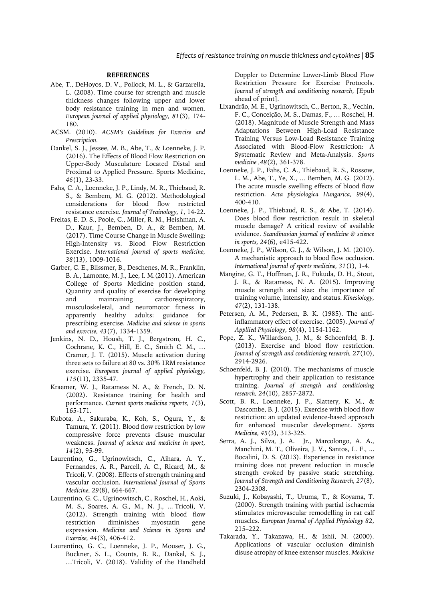### **REFERENCES**

- Abe, T., DeHoyos, D. V., Pollock, M. L., & Garzarella, L. (2008). Time course for strength and muscle thickness changes following upper and lower body resistance training in men and women. *European journal of applied physiology, 81*(3), 174- 180.
- ACSM. (2010). *ACSM's Guidelines for Exercise and Prescription.*
- Dankel, S. J., Jessee, M. B., Abe, T., & Loenneke, J. P. (2016). The Effects of Blood Flow Restriction on Upper-Body Musculature Located Distal and Proximal to Applied Pressure. Sports Medicine, *46*(1), 23-33.
- Fahs, C. A., Loenneke, J. P., Lindy, M. R., Thiebaud, R. S., & Bembem, M. G. (2012). Methodological considerations for blood flow restricted resistance exercise. *Journal of Trainology, 1*, 14-22.
- Freitas, E. D. S., Poole, C., Miller, R. M., Heishman, A. D., Kaur, J., Bemben, D. A., & Bemben, M. (2017). Time Course Change in Muscle Swelling: High-Intensity vs. Blood Flow Restriction Exercise. *International journal of sports medicine, 38*(13), 1009-1016.
- Garber, C. E., Blissmer, B., Deschenes, M. R., Franklin, B. A., Lamonte, M. J., Lee, I. M.(2011). American College of Sports Medicine position stand, Quantity and quality of exercise for developing and maintaining cardiorespiratory, musculoskeletal, and neuromotor fitness in apparently healthy adults: guidance for prescribing exercise. *Medicine and science in sports and exercise, 43*(7), 1334-1359.
- Jenkins, N. D., Housh, T. J., Bergstrom, H. C., Cochrane, K. C., Hill, E. C., Smith C. M., … Cramer, J. T. (2015). Muscle activation during three sets to failure at 80 vs. 30% 1RM resistance exercise. *European journal of applied physiology, 115*(11), 2335-47.
- Kraemer, W. J., Ratamess N. A., & French, D. N. (2002). Resistance training for health and performance. *Current sports medicine reports*, *1*(3), 165-171.
- Kubota, A., Sakuraba, K., Koh, S., Ogura, Y., & Tamura, Y. (2011). Blood flow restriction by low compressive force prevents disuse muscular weakness. *Journal of science and medicine in sport, 14*(2), 95-99.
- Laurentino, G., Ugrinowitsch, C., Aihara, A. Y., Fernandes, A. R., Parcell, A. C., Ricard, M., & Tricoli, V. (2008). Effects of strength training and vascular occlusion. *International Journal of Sports Medicine, 29*(8), 664-667.
- Laurentino, G. C., Ugrinowitsch, C., Roschel, H., Aoki, M. S., Soares, A. G., M., N. J., ... Tricoli, V. (2012). Strength training with blood flow restriction diminishes myostatin gene expression. *Medicine and Science in Sports and Exercise, 44*(3), 406-412.
- Laurentino, G. C., Loenneke, J. P., Mouser, J. G., Buckner, S. L., Counts, B. R., Dankel, S. J., …Tricoli, V. (2018). Validity of the Handheld

Doppler to Determine Lower-Limb Blood Flow Restriction Pressure for Exercise Protocols. *Journal of strength and conditioning research*, [Epub ahead of print].

- Lixandrão, M. E., Ugrinowitsch, C., Berton, R., Vechin, F. C., Conceição, M. S., Damas, F., … Roschel, H. (2018). Magnitude of Muscle Strength and Mass Adaptations Between High-Load Resistance Training Versus Low-Load Resistance Training Associated with Blood-Flow Restriction: A Systematic Review and Meta-Analysis. *Sports medicine ,48*(2), 361-378.
- Loenneke, J. P., Fahs, C. A., Thiebaud, R. S., Rossow, L. M., Abe, T., Ye, X., … Bemben, M. G. (2012). The acute muscle swelling effects of blood flow restriction. *Acta physiologica Hungarica, 99*(4), 400-410.
- Loenneke, J. P., Thiebaud, R. S., & Abe, T. (2014). Does blood flow restriction result in skeletal muscle damage? A critical review of available evidence. *Scandinavian journal of medicine & science in sports, 24*(6), e415-422.
- Loenneke, J. P., Wilson, G. J., & Wilson, J. M. (2010). A mechanistic approach to blood flow occlusion. *International journal of sports medicine, 31*(1), 1-4.
- Mangine, G. T., Hoffman, J. R., Fukuda, D. H., Stout, J. R., & Ratamess, N. A. (2015). Improving muscle strength and size: the importance of training volume, intensity, and status. *Kinesiology, 47*(2), 131-138.
- Petersen, A. M., Pedersen, B. K. (1985). The antiinflammatory effect of exercise. (2005). *Journal of Appllied Physiology*, *98*(4), 1154-1162.
- Pope, Z. K., Willardson, J. M., & Schoenfeld, B. J. (2013). Exercise and blood flow restriction. *Journal of strength and conditioning research, 27*(10), 2914-2926.
- Schoenfeld, B. J. (2010). The mechanisms of muscle hypertrophy and their application to resistance training. *Journal of strength and conditioning research, 24*(10), 2857-2872.
- Scott, B. R., Loenneke, J. P., Slattery, K. M., & Dascombe, B. J. (2015). Exercise with blood flow restriction: an updated evidence-based approach for enhanced muscular development. *Sports Medicine, 45*(3), 313-325.
- Serra, A. J., Silva, J. A. Jr., Marcolongo, A. A., Manchini, M. T., Oliveira, J. V., Santos, L. F., ... Bocalini, D. S. (2013). Experience in resistance training does not prevent reduction in muscle strength evoked by passive static stretching. *Journal of Strength and Conditioning Research, 27*(8), 2304-2308.
- Suzuki, J., Kobayashi, T., Uruma, T., & Koyama, T. (2000). Strength training with partial ischaemia stimulates microvascular remodelling in rat calf muscles. *European Journal of Applied Physiology 82*, 215–222.
- Takarada, Y., Takazawa, H., & Ishii, N. (2000). Applications of vascular occlusion diminish disuse atrophy of knee extensor muscles. *Medicine*